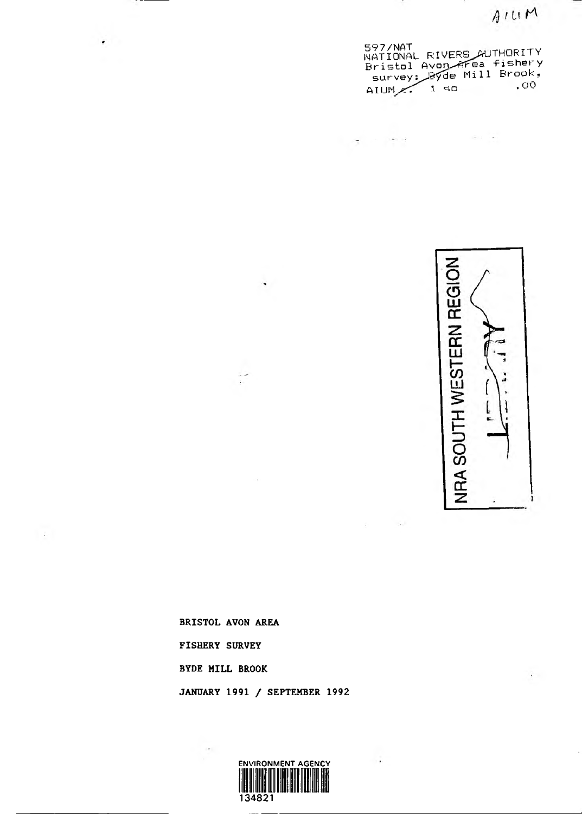

597/NAT<br>NATIONAL RIVERS\_AUTHORITY Bristol Avon wrea fishery surveys^JB^de Mill Brook, AIUM $\sim$  t so  $\sim$ 

ey companies

 $\mathbb{R}^{n+1}$  .



÷

**FISHERY SURVEY**

**BYDE MILL BROOK**

**BRISTOL AVON AREA**

 $\sim$  1.

 $\cdot$  .



 $\overline{\phantom{a}}$ 

**JANUARY 1991 / SEPTEMBER 1992**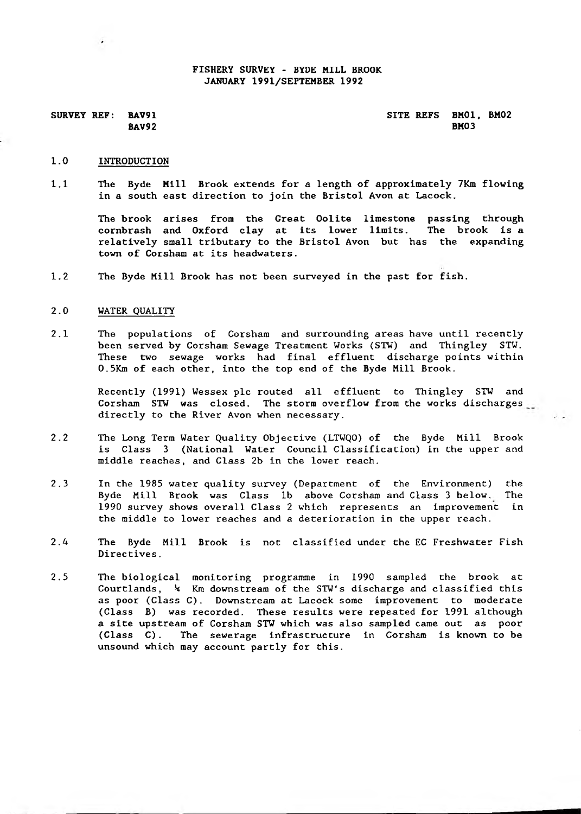#### **FISHERY SURVEY - BYDE MILL BROOK JANUARY 1991/SEPTEMBER 1992**

SURVEY REF: BAV91<br>BAV92 BAV92 **BAV92 BM03** 

#### **1.0 INTRODUCTION**

**1.1 The Byde Mill Brook extends for a length of approximately 7Km flowing in a south east direction to join the Bristol Avon at Lacock.**

**The brook arises from the Great Oolite limestone passing through cornbrash and Oxford clay at its lower limits. The brook is a relatively small tributary to the Bristol Avon but has the expanding town of Corsham at its headwaters.**

**1.2 The Byde Mill Brook has not been surveyed in the past for fish.**

#### **2.0 WATER QUALITY**

**2.1 The populations of Corsham and surrounding areas have until recently been served by Corsham Sewage Treatment Works (STW) and Thingley STW. These two sewage works had final effluent discharge points within 0.5Km of each other, into the top end of the Byde Mill Brook.**

**Recently (1991) Wessex pic routed all effluent to Thingley STW and Corsham STW was closed. The storm overflow from the works discharges directly to the River Avon when necessary.**

- **2.2 The Long Term Water Quality Objective (LTWQO) of the Byde Mill Brook is Class 3 (National Water Council Classification) in the upper and middle reaches, and Class 2b in the lower reach.**
- **2.3 In the 1985 water quality survey (Department of the Environment) the Byde Mill Brook was Class lb above Corsham and Class 3 below. The 1990 survey shows overall Class 2 which represents an improvement in the middle to lower reaches and a deterioration in the upper reach.**
- **2.4 The Byde Mill Brook is not classified under the EC Freshwater Fish Directives.**
- **2.5 The biological monitoring programme in 1990 sampled the brook at Courtlands,** *k* **Km downstream of the STW's discharge and classified this as poor (Class C). Downstream at Lacock some improvement to moderate (Class B) was recorded. These results were repeated for 1991 although a site upstream of Corsham STW which was also sampled came out as poor** (Class C). The sewerage infrastructure in Corsham is known to be **unsound which may account partly for this.**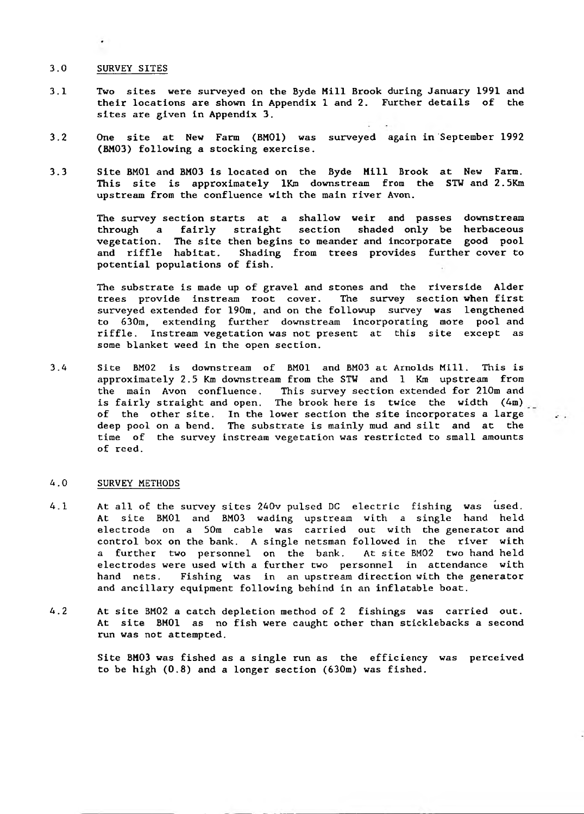#### **3.0 SURVEY SITES**

- **3.1 Two sites were surveyed on the Byde Mill Brook during January 1991 and their locations are shown in Appendix 1 and 2. Further details of the sites are given in Appendix 3.**
- **3.2 One site at New Farm (BM01) was surveyed again in September 1992 (BM03) following a stocking exercise.**
- **3.3 Site BM01 and BM03 is located on the Byde Mill Brook at New Farm. This site is approximately lKm downstream from the STW and 2.5Km upstream from the confluence with the main river Avon.**

**The survey section starts at a shallow weir and passes downstream through a fairly straight section shaded only be herbaceous vegetation. The site then begins to meander and incorporate good pool** Shading from trees provides further cover to **potential populations of fish.**

**The substrate is made up of gravel and stones and the riverside Alder trees provide instream root cover. The survey section when first surveyed extended for 190m, and on the followup survey was lengthened to 630m, extending further downstream incorporating more pool and riffle. Instream vegetation was not present at this site except as some blanket weed in the open section.**

**3.4 Site BM02 is downstream of BM01 and BM03 at Arnolds Mill. This is approximately 2.5 Km downstream from the STW and 1 Km upstream from the main Avon confluence. This survey section extended for 210m and is fairly straight and open. The brook here is twice the width (4m) of the other site. In the lower section the site incorporates a large deep pool on a bend. The substrate is mainly mud and silt and at the time of the survey instreara vegetation was restricted to small amounts of reed.**

#### **4.0 SURVEY METHODS**

- **4.1 At all of the survey sites 240v pulsed DC electric fishing was used. At site BM01 and BM03 wading upstream with a single hand held electrode on a 50m cable was carried out with the generator and control box on the bank. A single netsman followed in the river with a further two personnel on the bank. At site BM02 two hand held electrodes were used with a further two personnel in attendance with hand nets. Fishing was in an upstream direction with the generator and ancillary equipment following behind in an inflatable boat.**
- **4.2 At site BM02 a catch depletion method of 2 fishings was carried out. At site BM01 as no fish were caught other than sticklebacks a second run was not attempted.**

**Site BM03 was fished as a single run as the efficiency was perceived to be high (0.8) and a longer section (630m) was fished.**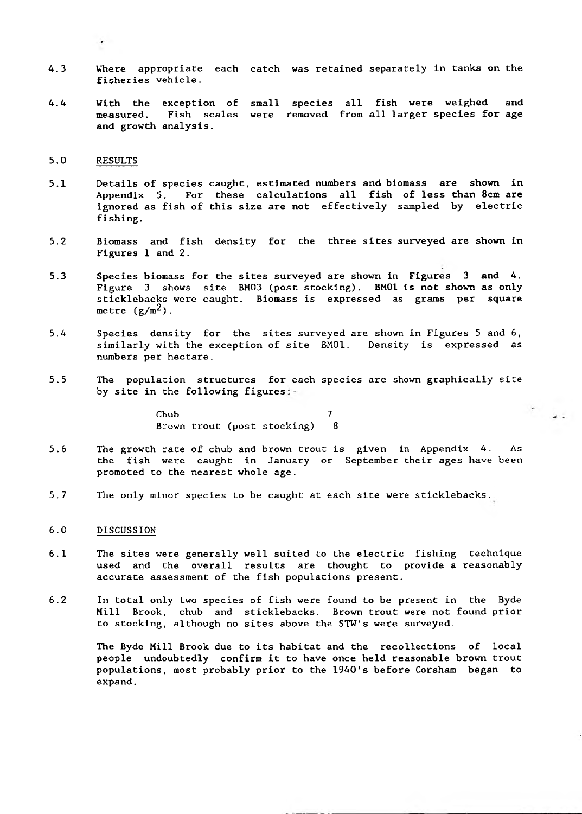- **4.3 Where appropriate each catch was retained separately in tanks on the fisheries vehicle.**
- **4.4 With the exception of small species all fish were weighed and measured. Fish scales were removed from all larger species for age and growth analysis.**

#### **5.0 RESULTS**

 $\bullet$ 

- **5.1 Details of species caught, estimated numbers and biomass are shown in Appendix 5. For these calculations all fish of less than 8cm are ignored as fish of this size are not effectively sampled by electric fishing.**
- **5.2 Biomass and fish density for the three sites surveyed are shown in Figures 1 and 2.**
- **5.3 Species biomass for the sites surveyed are shown in Figures 3 and 4. Figure 3 shows site BM03 (post stocking). BM01 is not shown as only sticklebacks were caught. Biomass is expressed as grams per square** metre  $(g/m^2)$ .
- **5.4 Species density for the sites surveyed are shown in Figures 5 and 6, similarly with the exception of site BM01. Density is expressed as numbers per hectare.**
- **5.5 The population structures for each species are shown graphically site by site in the following figures**

**Chub 7 Brown trout (post stocking) 8**

- **5.6 The growth rate of chub and brown trout is given in Appendix 4. As the fish were caught in January or September their ages have been promoted to the nearest whole age.**
- **5.7 The only minor species to be caught at each site were sticklebacks.**

#### **6.0 DISCUSSION**

- **6.1 The sites were generally well suited to the electric fishing technique used and the overall results are thought to provide a reasonably accurate assessment of the fish populations present.**
- **6.2 In total only two species of fish were found to be present in the Byde Mill Brook, chub and sticklebacks. Brown trout were not found prior to stocking, although no sites above the STW's were surveyed.**

**The Byde Mill Brook due to its habitat and the recollections of local people undoubtedly confirm it to have once held reasonable brown trout populations, most probably prior to the 1940's before Corsham began to expand.**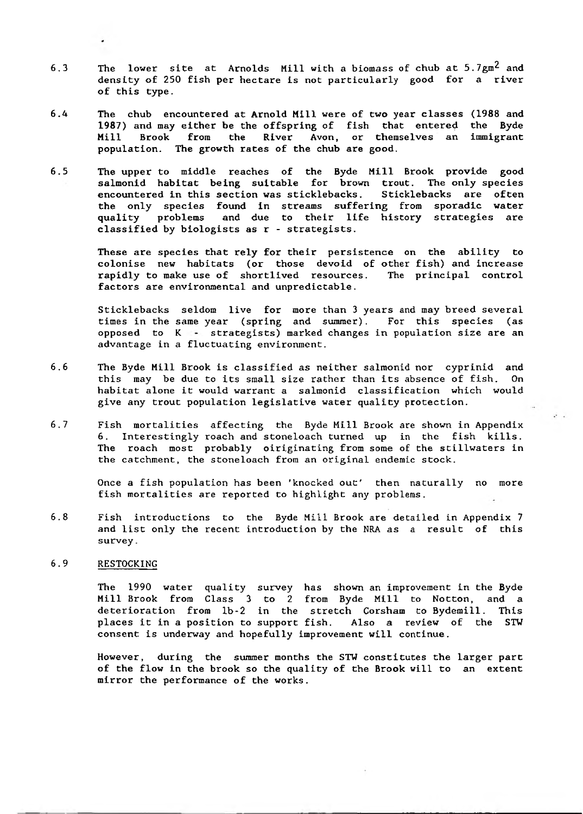- **6.3 The lower site at Arnolds Mill with a biomass of chub at 5.7gm^ and density of 250 fish per hectare is not particularly good for a river of this type.**
- **6.4 The chub encountered at Arnold Mill were of two year classes (1988 and 1987) and may either be the offspring of fish that entered the Byde Mill Brook from the River Avon, or themselves an immigrant population. The growth rates of the chub are good.**
- **6.5 The upper to middle reaches of the Byde Mill Brook provide good salmonid habitat being suitable for brown trout. The only species encountered in this section was sticklebacks. Sticklebacks are often the only species found in streams suffering from sporadic water quality problems and due to their life history strategies are classified by biologists as r - strategists.**

**These are species that rely for their persistence on the ability to colonise new habitats (or those devoid of other fish) and increase rapidly to make use of shortlived resources. The principal control factors are environmental and unpredictable.**

**Sticklebacks seldom live for more than 3 years and may breed several times in the same year (spring and summer) . For this species (as opposed to K strategists) marked changes in population size are an advantage in a fluctuating environment.**

- **6.6 The Byde Mill Brook is classified as neither salmonid nor cyprinid and this may be due to its small size rather than its absence of fish. On habitat alone it would warrant a salmonid classification which would give any trout population legislative water quality protection.**
- **6.7 Fish mortalities affecting the Byde Mill Brook are shown in Appendix 6. Interestingly roach and Stoneloach turned up in the fish kills. The roach most probably oiriginating from some of the stillwaters in the catchment, the Stoneloach from an original endemic stock.**

**Once a fish population has been 'knocked out' then naturally no more fish mortalities are reported to highlight any problems.**

**6.8 Fish introductions to the Byde Mill Brook are detailed in Appendix 7 and list only the recent introduction by the NRA as a result of this survey.**

### **6.9 RESTOCKING**

**The 1990 water quality survey has shown an improvement in the Byde Mill Brook from Class 3 to 2 from Byde Mill to Notton, and a deterioration from lb-2 in the stretch Corsham to Bydemill. This places it in a position to support fish. Also a review of the STW consent is underway and hopefully improvement will continue.**

**However, during the summer months the STW constitutes the larger part of the flow in the brook so the quality of the Brook will to an extent mirror the performance of the works.**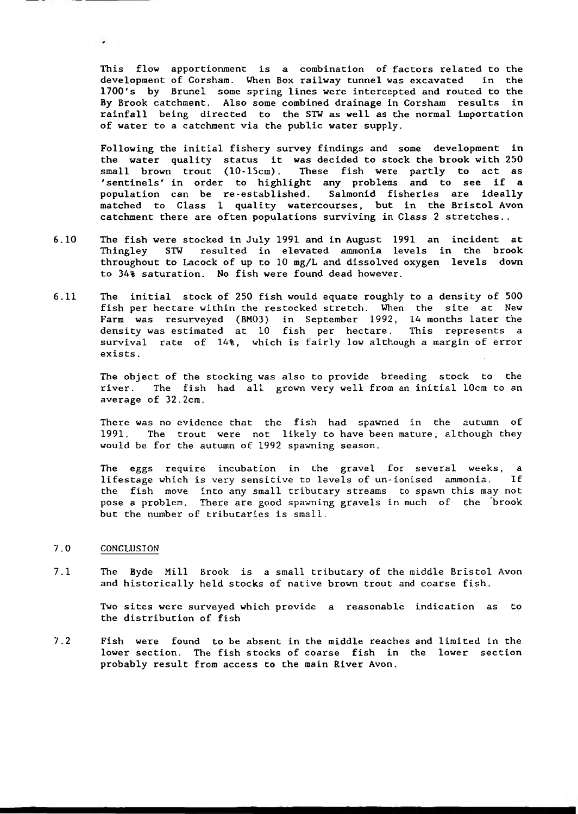**This flow apportionment is a combination of factors related to the** development of Corsham. When Box railway tunnel was excavated **1700's by Brunei some spring lines were intercepted and routed to the By Brook catchment. Also some combined drainage in Corsham results in rainfall being directed to the STW as well as the normal importation of water to a catchment via the public water supply.**

**Following the initial fishery survey findings and some development in the water quality status it was decided to stock the brook with 250 small brown trout (10-15cm). These fish were partly to act as 'sentinels' in order to highlight any problems and to see if a population can be re-established. Salmonid fisheries are ideally matched to Class 1 quality watercourses, but in the Bristol Avon catchment there are often populations surviving in Class 2 stretches..**

- **6.10 The fish were stocked in July 1991 and in August 1991 an incident at Thingley STW resulted in elevated ammonia levels in the brook throughout to Lacock of up to 10 mg/L and dissolved oxygen levels down to 34% saturation. No fish were found dead however.**
- **6.11 The initial stock of 250 fish would equate roughly to a density of 500 fish per hectare within the restocked stretch. When the site at New Farm was resurveyed (BM03) in September 1992, 14 months later the density was estimated at 10 fish per hectare. This represents a survival rate of 14%, which is fairly low although a margin of error exists.**

**The object of the stocking was also to provide breeding stock to the river. The fish had all grown very well from an initial 10cm to an** average of 32.2cm.

**There was no evidence that the fish had spawned in the autumn of 1991. The trout were not likely to have been mature, although they would be for the autumn of 1992 spawning season.**

**The eggs require incubation in the gravel for several weeks, a lifestage which is very sensitive to levels of un-ionised ammonia. If the fish move into any small tributary streams to spawn this may not pose a problem. There are good spawning gravels in much of the brook but the number of tributaries is small.**

#### **7.0** CONCLUSION

 $\cdot$ 

**7.1 The Byde Mill Brook is a small tributary of the middle Bristol Avon and historically held stocks of native brown trout and coarse fish.**

> **Two sites were surveyed which provide a reasonable indication as to the distribution of fish**

**7.2 Fish were found to be absent in the middle reaches and limited in the lower section. The fish stocks of coarse fish in the lower section probably result from access to the main River Avon.**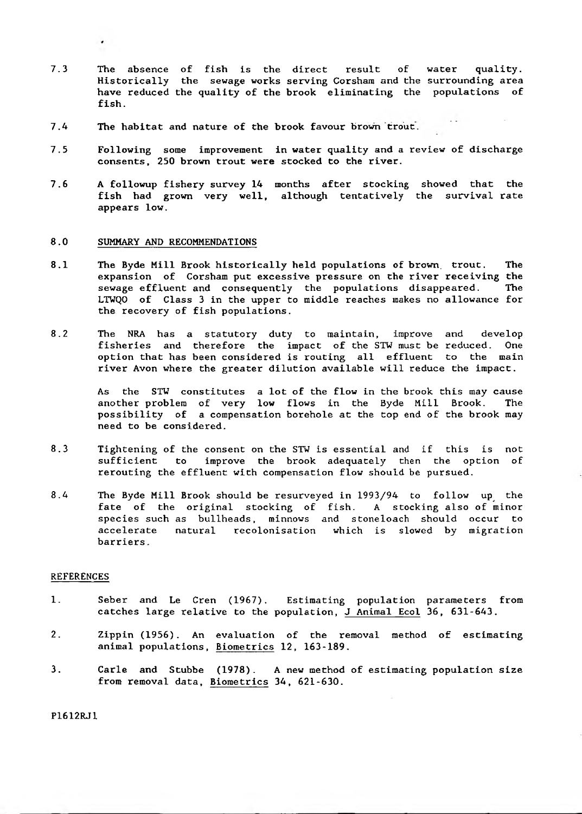- **7.3 The absence of fish is the direct result of water quality. Historically the sewage works serving Corshara and the surrounding area have reduced the quality of the brook eliminating the populations of fish.**
- **7.4 The habitat and nature of the brook favour brown trout.**
- **7.5 Following some improvement in water quality and a review of discharge consents, 250 brown trout were stocked to the river.**
- **7.6 A followup fishery survey 14 months after stocking showed that the fish had grown very well, although tentatively the survival rate appears low.**

#### **8.0 SUMMARY AND RECOMMENDATIONS**

- **8.1 The Byde Mill Brook historically held populations of brown, trout. The expansion of Corsham put excessive pressure on the river receiving the sewage effluent and consequently the populations disappeared. The LTWQO of Class 3 in the upper to middle reaches makes no allowance for the recovery of fish populations.**
- **8.2 The NRA has a statutory duty to maintain, improve and develop fisheries and therefore the impact of the STW must be reduced. One option that has been considered is routing all effluent to the main river Avon where the greater dilution available will reduce the impact.**

**As the STW constitutes a lot of the flow in the brook this may cause another problem of very low flows in the Byde Mill Brook. The possibility of a compensation borehole at the top end of the brook may need to be considered.**

- **8.3 Tightening of the consent on the STW is essential and if this is not sufficient to improve the brook adequately then the option of rerouting the effluent with compensation flow should be pursued.**
- **8.4 The Byde Mill Brook should be resurveyed in 1993/94 to follow up the fate of the original stocking of fish. A stocking also of minor species such as bullheads, minnows and Stoneloach should occur to accelerate natural recolonisation which is slowed by migration barriers.**

#### **REFERENCES**

- **1. Seber and Le Cren (1967). Estimating population parameters from catches large relative to the population, J Animal Ecol 36, 631-643.**
- **2. Zippin (1956). An evaluation of the removal method of estimating animal populations, Biometrics 12, 163-189.**
- **3. Carle and Stubbe (1978). A new method of estimating population size from removal data, Biometrics 34, 621-630.**

**P1612RJ1**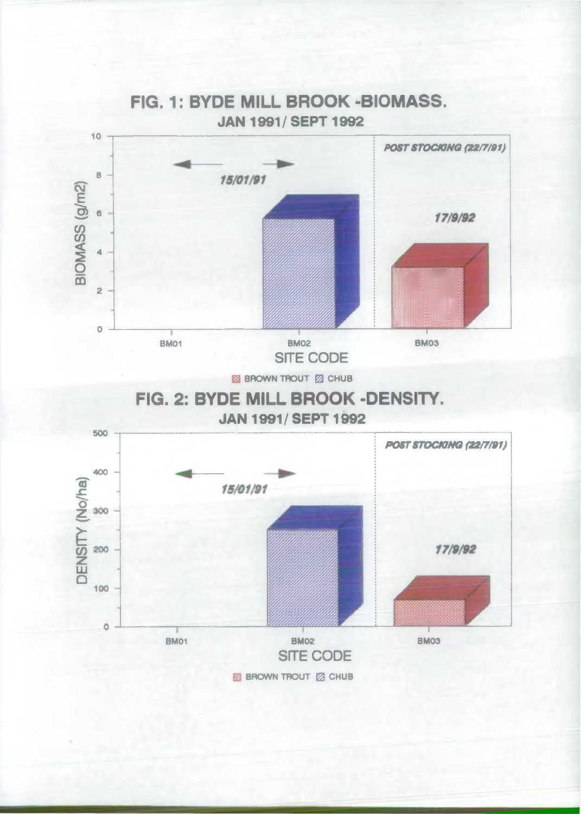

# **FIG. 1: BYDE MILL BROOK -BIOMASS.**

**B** BROWN TROUT **2** CHUB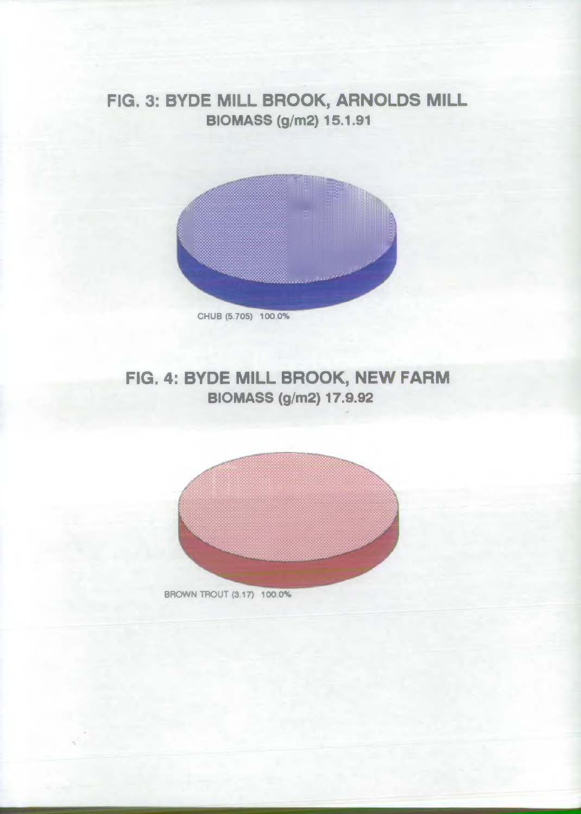# **FIG. 3: BYDE MILL BROOK, ARNOLDS MILL BIOMASS (g/m2) 15.1.91**



# **FIG. 4: BYDE MILL BROOK, NEW FARM BIOMASS (g/m2) 17.9.92**

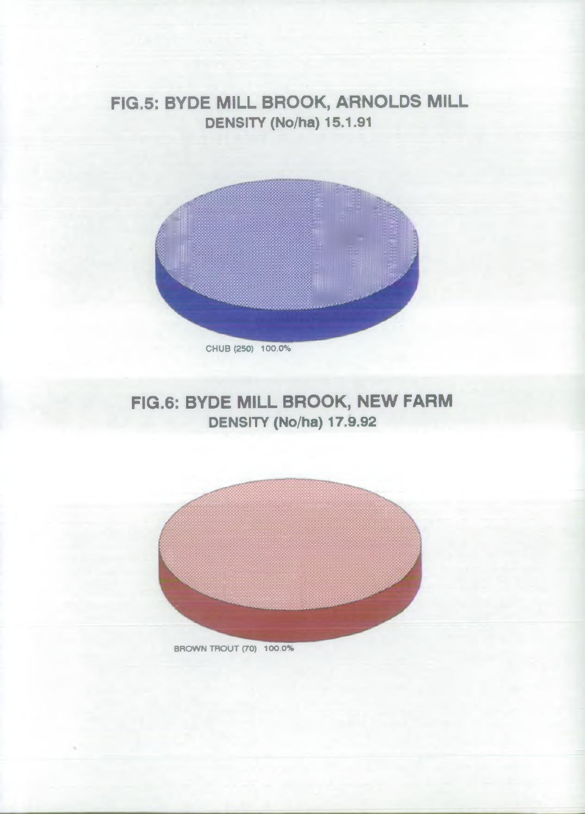# **FIG.5: BYDE MILL BROOK, ARNOLDS MILL DENSITY (No/ha) 15.1.91**



# **FIG.6: BYDE MILL BROOK, NEW FARM DENSITY (No/ha) 17.9.92**



BROWN TROUT (70) 100.0%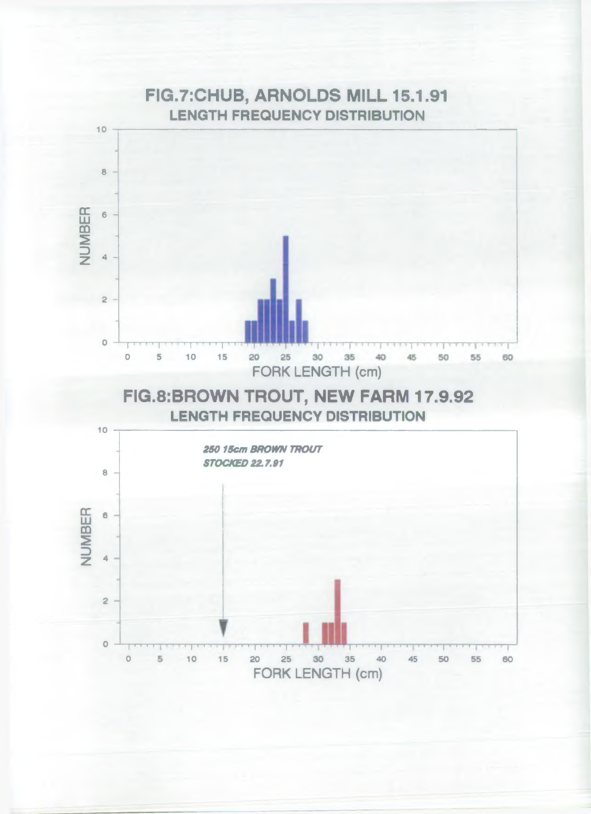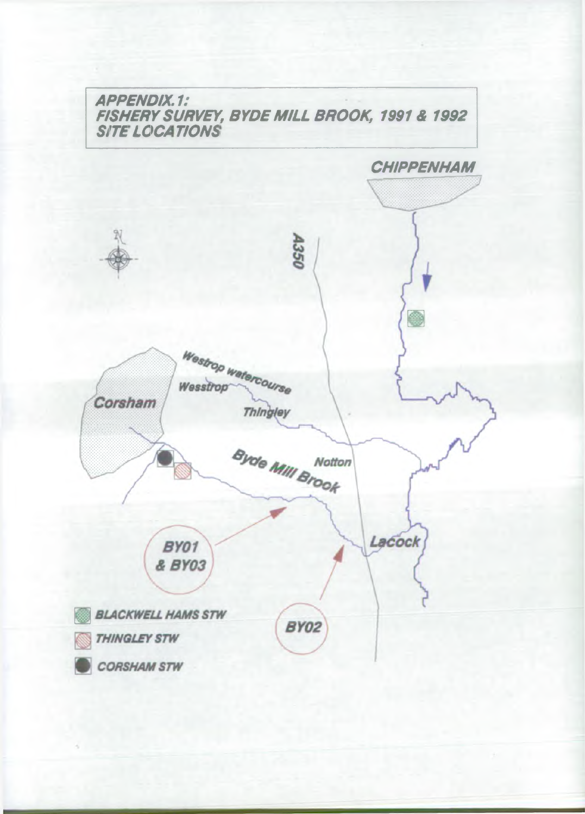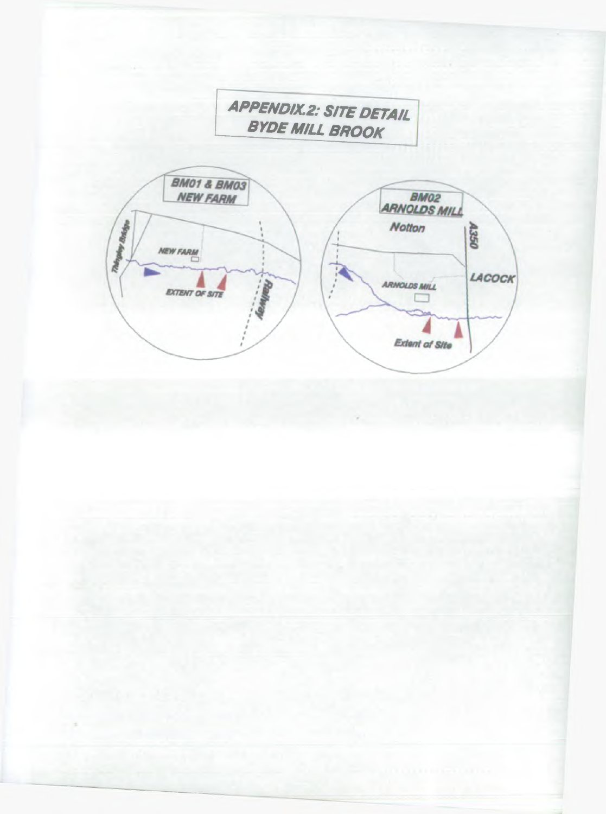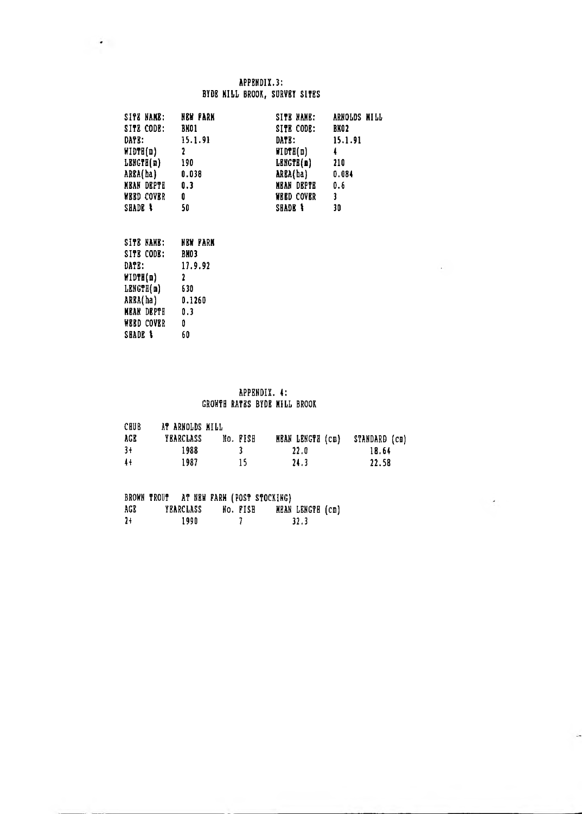### APPENDIX.3: BYDE MILL BROOK, SURVEY SITES

| SITE NAME:             | NEW FARK       | SITE NAME:         | ARNOLDS MILL |
|------------------------|----------------|--------------------|--------------|
| SITE CODE:             | BNO1           | SITE CODE:         | BKO2         |
| DATE:                  | 15.1.91        | DATE:              | 15.1.91      |
| HIDTH(n)               | 2              | MDFH(a)            | Ļ            |
| LENGTH(n)              | 190            | LENGTH(m)          | 210          |
| ARBA(ha)               | 0.038          | ARBA(ha)           | 0.084        |
| MBAN DEPTH             | $\mathbf{0.3}$ | MEAN DEPTE         | 0.6          |
| <b>WEED COVER</b>      | 0              | <b>WEED COVER</b>  | 3            |
| SHADE <sup>&amp;</sup> | 50             | <b>SHADE &amp;</b> | 30           |

| SITE NAME:          | NEW FARM    |
|---------------------|-------------|
| SITE CODE:          | <b>BNO3</b> |
| <b>DATE:</b>        | 17.9.92     |
| WIDTH(m)            | 2           |
| LENGTH(m)           | 630         |
| AREA(ha)            | 0.1260      |
| MRAN DRPTH          | 0.3         |
| WERD COVER          | O           |
| SHADE <sup>\$</sup> | 60          |

### APPENDIX. 4: GROWTH RATES BYDE MILL BROOK

 $\mathcal{L}_{\rm{F}}$  .

 $\overline{\phantom{a}}$ 

| CHUB            | AT ARNOLDS MILL  |          |                  |               |
|-----------------|------------------|----------|------------------|---------------|
| AGR             | <b>YEARCLASS</b> | No. FISH | MEAN LENGTH (cm) | STANDARD (cm) |
| $3+$            | 1988             |          | 22.0             | 18.64         |
| $\overline{41}$ | 1987             | 15.      | 24.3             | 22.58         |

|      |           |      |  |          | BROWN TROUT AT NEW FARM (POST STOCKING) |                  |  |
|------|-----------|------|--|----------|-----------------------------------------|------------------|--|
| AGR  | YEARCLASS |      |  | NO. FISH |                                         | MEAN LENGTH (cm) |  |
| $2+$ |           | 1990 |  |          |                                         | 32.3             |  |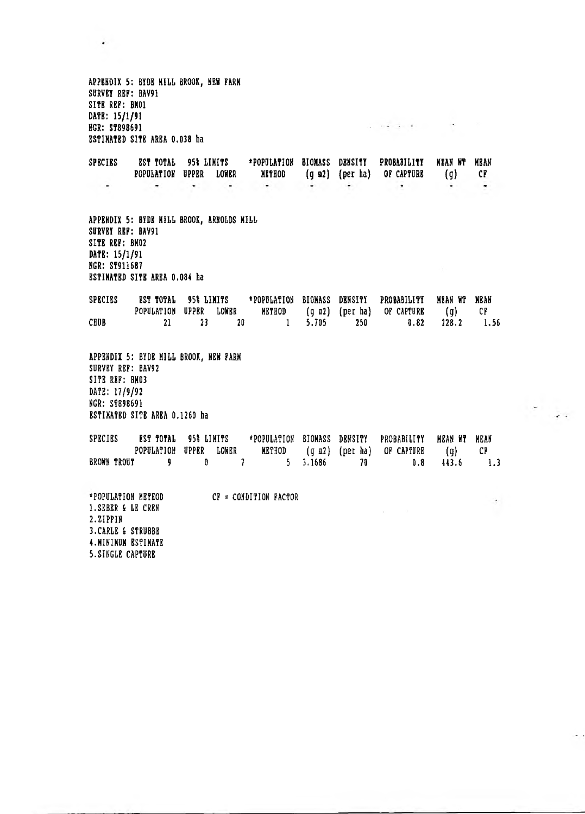APP8HDIX 5: BYDE HILL BROOK, NEW FARM SURVBY RBF: BAV91 SITE REP: BM01 DATE: 15/1/91 a mandardi in the control of the HGR: ST898691 ESTIMATED SITE AREA 0.038 ba SPECIES BST TOTAL 951 LIMITS 'POPULATION BIOMASS DENSITY PROBABILITY MEAN NT MEAN POPULATION UPPER LOWER METHOD (g a2) (per ha) OF CAPTURE (g) CF  $\overline{a}$  $\sim 10^{-10}$  km  $\frac{1}{2}$  $\sim$ ie.  $\cdot$  $\overline{\phantom{a}}$  $\sim$  $\overline{\phantom{a}}$ APPENDIX 5: BYDE MILL BROOK, ARNOLDS MILL SURVEY REF: BAV91 SITE REF: BM02 DATE: 15/1/91 HGR: ST911687  $\sim$ ESTIMATED SITE AREA 0.084 ba SPECIES EST TOTAL 95% LIMITS \*POPULATION BIOMASS DENSITY PROBABILITY MEAN WT MEAN<br>POPULATION UPPER LOWER METHOD (q m2) (per ha) OF CAPTURE (q) CF POPULATION (g n2) (per ha) OF CAPTURE (g) CF CHUB 21 23 20 1 5.705 250 0.82 228.2 1.56 APPENDIX 5: BYDB HILL BROOK, NEW FARM SURVEY REF: BAV92 SITE REF: BM03 DATE: 17/9/92 NGR: ST898691 ESTIMATED SITE AREA 0.1260 ha SPECIES EST\_TOTAL 95% LIMITS \*POPULATION BIONASS DENSITY PROBABILITY MEAN\_WT\_MEAN<br>POPULATION UPPER LOWER METHOD (q m2) (per ha) OF\_CAPTURE (q) CF POPULATION (g m2) (per ha) OF CAPTURE (g) CF BROWN TROUT 9 0 7 5 3.1686 70 0.8 443.6 1.3 'POPULATION METHOD CF = CONDITION FACTOR  $\overline{\phantom{a}}$ l.SEBER & LE CREN 2.ZIPPIN 3.CARLE & STRUBBE 4 .MINIMUM ESTIMATE 5.SINGLE CAPTURE

 $\lambda$